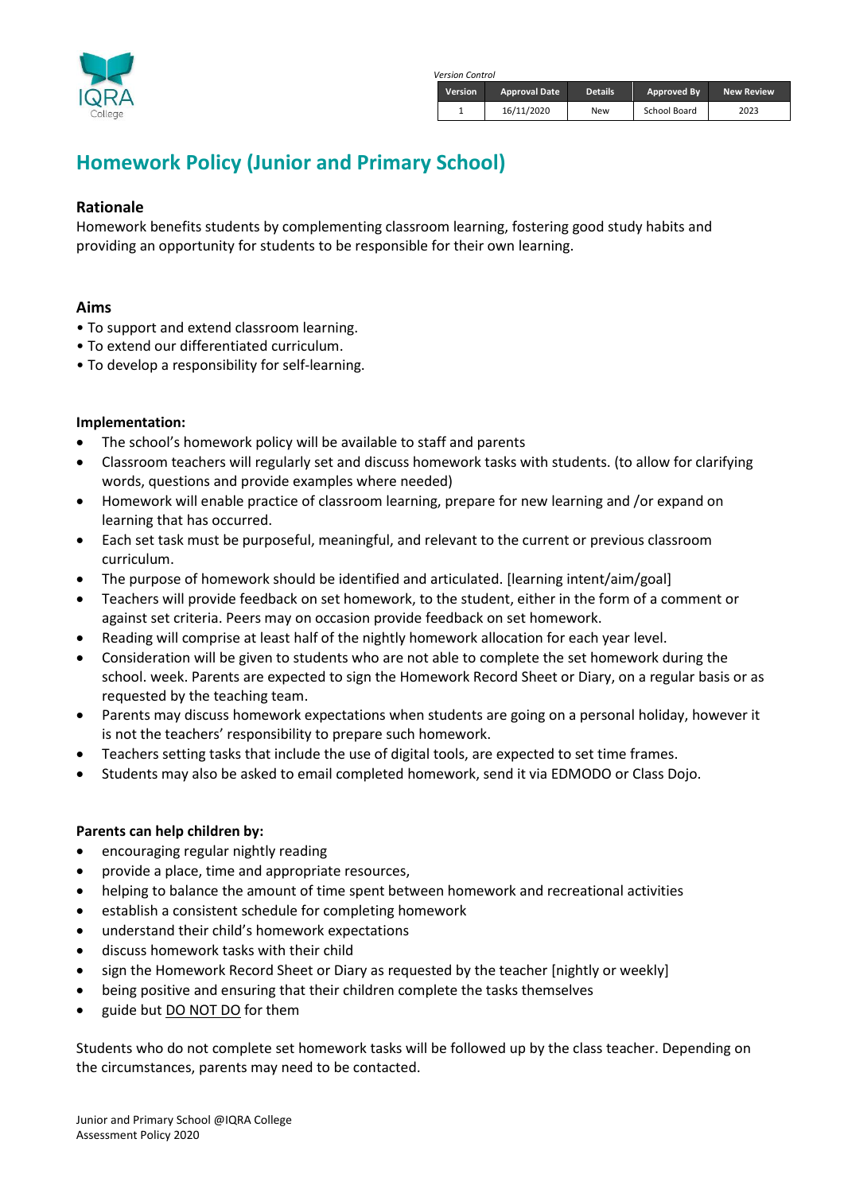

*Version Control*

| <b>Version</b> | <b>Approval Date</b> | <b>Details</b> | Approved By  | <b>New Review</b> |
|----------------|----------------------|----------------|--------------|-------------------|
|                | 16/11/2020           | New            | School Board | 2023              |

# **Homework Policy (Junior and Primary School)**

### **Rationale**

Homework benefits students by complementing classroom learning, fostering good study habits and providing an opportunity for students to be responsible for their own learning.

### **Aims**

- To support and extend classroom learning.
- To extend our differentiated curriculum.
- To develop a responsibility for self-learning.

#### **Implementation:**

- The school's homework policy will be available to staff and parents
- Classroom teachers will regularly set and discuss homework tasks with students. (to allow for clarifying words, questions and provide examples where needed)
- Homework will enable practice of classroom learning, prepare for new learning and /or expand on learning that has occurred.
- Each set task must be purposeful, meaningful, and relevant to the current or previous classroom curriculum.
- The purpose of homework should be identified and articulated. [learning intent/aim/goal]
- Teachers will provide feedback on set homework, to the student, either in the form of a comment or against set criteria. Peers may on occasion provide feedback on set homework.
- Reading will comprise at least half of the nightly homework allocation for each year level.
- Consideration will be given to students who are not able to complete the set homework during the school. week. Parents are expected to sign the Homework Record Sheet or Diary, on a regular basis or as requested by the teaching team.
- Parents may discuss homework expectations when students are going on a personal holiday, however it is not the teachers' responsibility to prepare such homework.
- Teachers setting tasks that include the use of digital tools, are expected to set time frames.
- Students may also be asked to email completed homework, send it via EDMODO or Class Dojo.

#### **Parents can help children by:**

- encouraging regular nightly reading
- provide a place, time and appropriate resources,
- helping to balance the amount of time spent between homework and recreational activities
- establish a consistent schedule for completing homework
- understand their child's homework expectations
- discuss homework tasks with their child
- sign the Homework Record Sheet or Diary as requested by the teacher [nightly or weekly]
- being positive and ensuring that their children complete the tasks themselves
- guide but DO NOT DO for them

Students who do not complete set homework tasks will be followed up by the class teacher. Depending on the circumstances, parents may need to be contacted.